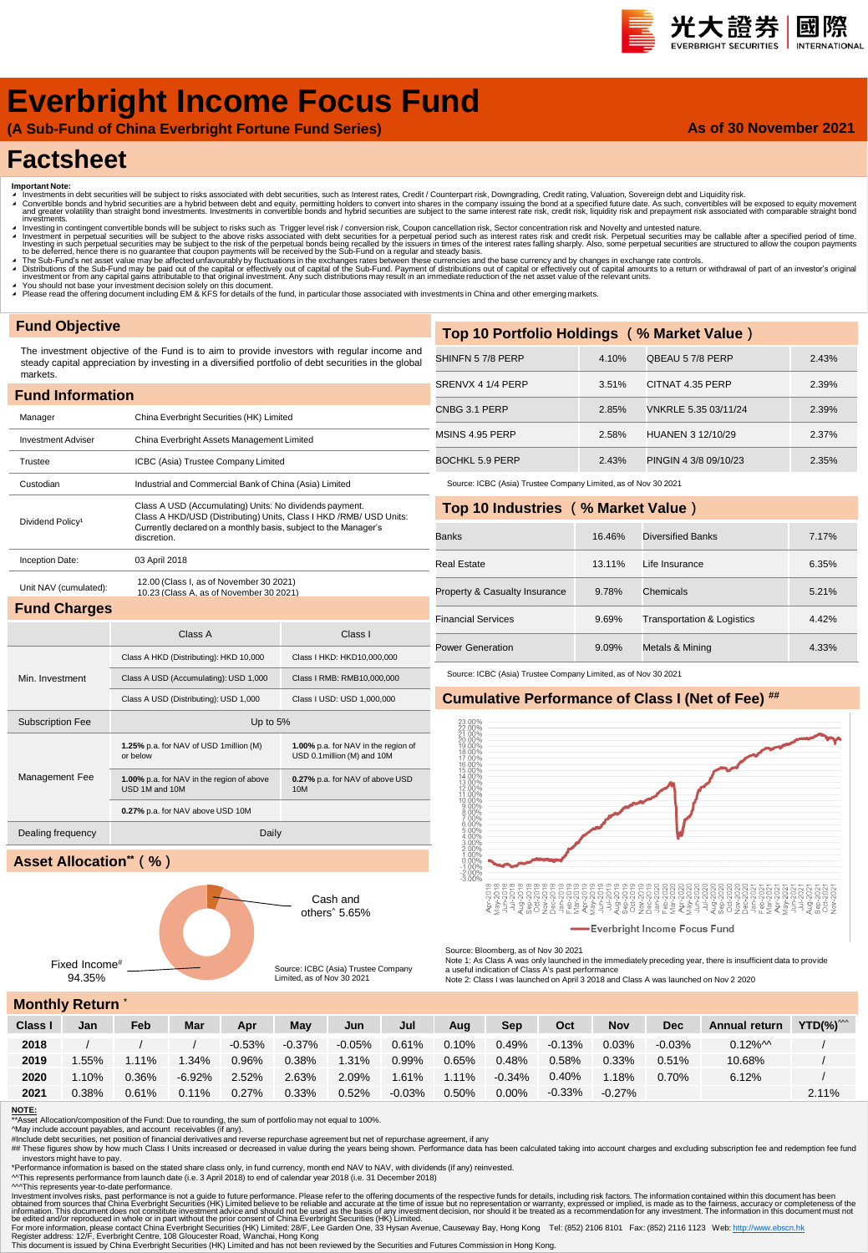#### 光大證券 國際 INTERNATIONAL

**As of 30 November 2021**

# **Everbright Income Focus Fund**

**(A Sub-Fund of China Everbright Fortune Fund Series)**

## **Factsheet**

- 
- Important Note:<br>▲ Investments in debt securities will be subject to risks associated with debt securities, such as Interest rates, Credit / Counterpart risk, Downgrading, Credit rating, Valuation, Sovereign debt and Liqui nvestinents.<br>Investing in contingent convertible bonds will be subject to risks such as Trigger level risk / conversion risk, Coupon cancellation risk, Sector concentration risk and Novelty and untested nature.
- Investment in perpetual securities will be subject to the above risks associated with debt securities for a perpetual period such as interest rates risk and credit risk. Perpetual securities may be callable after a specifi
- ▲ The Sub-Fund's net asset value may be affected unfavourably by fluctuations in the exchanges rates between these currencies and the base currency and by changes in exchange rate controls.<br>▲ Distributions of the Sub-Fund
- 
- ∡ You should not base your investment decision solely on this document.<br>◢ Please read the offering document including EM & KFS for details of the fund, in particular those associated with investments in China and other em

## **Fund Objective**

The investment objective of the Fund is to aim to provide investors with regular income and steady capital appreciation by investing in a diversified portfolio of debt securities in the global markets.

| <b>Fund Information</b>      |                                                                                    |                                                                                                                                                                                                  |  |  |  |  |  |  |  |
|------------------------------|------------------------------------------------------------------------------------|--------------------------------------------------------------------------------------------------------------------------------------------------------------------------------------------------|--|--|--|--|--|--|--|
| Manager                      | China Everbright Securities (HK) Limited                                           |                                                                                                                                                                                                  |  |  |  |  |  |  |  |
| <b>Investment Adviser</b>    | China Everbright Assets Management Limited                                         |                                                                                                                                                                                                  |  |  |  |  |  |  |  |
| Trustee                      | ICBC (Asia) Trustee Company Limited                                                |                                                                                                                                                                                                  |  |  |  |  |  |  |  |
| Custodian                    | Industrial and Commercial Bank of China (Asia) Limited                             |                                                                                                                                                                                                  |  |  |  |  |  |  |  |
| Dividend Policy <sup>1</sup> | discretion.                                                                        | Class A USD (Accumulating) Units: No dividends payment.<br>Class A HKD/USD (Distributing) Units, Class I HKD /RMB/ USD Units:<br>Currently declared on a monthly basis, subject to the Manager's |  |  |  |  |  |  |  |
| Inception Date:              | 03 April 2018                                                                      |                                                                                                                                                                                                  |  |  |  |  |  |  |  |
| Unit NAV (cumulated):        | 12.00 (Class I, as of November 30 2021)<br>10.23 (Class A, as of November 30 2021) |                                                                                                                                                                                                  |  |  |  |  |  |  |  |
| <b>Fund Charges</b>          |                                                                                    |                                                                                                                                                                                                  |  |  |  |  |  |  |  |
|                              | Class A<br>Class I                                                                 |                                                                                                                                                                                                  |  |  |  |  |  |  |  |
|                              |                                                                                    |                                                                                                                                                                                                  |  |  |  |  |  |  |  |
|                              | Class A HKD (Distributing): HKD 10,000                                             | Class I HKD: HKD10,000,000                                                                                                                                                                       |  |  |  |  |  |  |  |
| Min. Investment              | Class A USD (Accumulating): USD 1,000                                              | Class I RMB: RMB10,000,000                                                                                                                                                                       |  |  |  |  |  |  |  |
|                              | Class A USD (Distributing): USD 1,000                                              | Class I USD: USD 1,000,000                                                                                                                                                                       |  |  |  |  |  |  |  |
| <b>Subscription Fee</b>      | Up to 5%                                                                           |                                                                                                                                                                                                  |  |  |  |  |  |  |  |
|                              | 1.25% p.a. for NAV of USD 1 million (M)<br>or below                                | 1.00% p.a. for NAV in the region of<br>USD 0.1million (M) and 10M                                                                                                                                |  |  |  |  |  |  |  |
| Management Fee               | 1.00% p.a. for NAV in the region of above<br>USD 1M and 10M                        | 0.27% p.a. for NAV of above USD<br>10M                                                                                                                                                           |  |  |  |  |  |  |  |
|                              | 0.27% p.a. for NAV above USD 10M                                                   |                                                                                                                                                                                                  |  |  |  |  |  |  |  |
| Dealing frequency            | Daily                                                                              |                                                                                                                                                                                                  |  |  |  |  |  |  |  |

## **Asset Allocation\*\*(%)**



| Top 10 Portfolio Holdings (% Market Value) |       |                       |       |  |  |  |  |  |
|--------------------------------------------|-------|-----------------------|-------|--|--|--|--|--|
| SHINFN 57/8 PERP                           | 4.10% | QBEAU 5 7/8 PERP      | 2.43% |  |  |  |  |  |
| SRENVX 4 1/4 PERP                          | 3.51% | CITNAT 4.35 PERP      | 2.39% |  |  |  |  |  |
| CNBG 3.1 PERP                              | 2.85% | VNKRLE 5.35 03/11/24  | 2.39% |  |  |  |  |  |
| MSINS 4.95 PERP                            | 2.58% | HUANEN 3 12/10/29     | 2.37% |  |  |  |  |  |
| BOCHKL 5.9 PERP                            | 2.43% | PINGIN 4 3/8 09/10/23 | 2.35% |  |  |  |  |  |
|                                            |       |                       |       |  |  |  |  |  |

Source: ICBC (Asia) Trustee Company Limited, as of Nov 30 2021

#### **Top 10 Industries (% Market Value)**

| <b>Banks</b>                  | 16.46% | Diversified Banks                     | 7.17% |
|-------------------------------|--------|---------------------------------------|-------|
| <b>Real Estate</b>            | 13.11% | Life Insurance                        | 6.35% |
| Property & Casualty Insurance | 9.78%  | Chemicals                             | 5.21% |
| <b>Financial Services</b>     | 9.69%  | <b>Transportation &amp; Logistics</b> | 4.42% |
| <b>Power Generation</b>       | 9.09%  | Metals & Mining                       | 4.33% |

Source: ICBC (Asia) Trustee Company Limited, as of Nov 30 2021

### **Cumulative Performance of Class I (Net of Fee) ##**



Source: Bloomberg, as of Nov 30 2021

Note 1: As Class A was only launched in the immediately preceding year, there is insufficient data to provide<br>a useful indication of Class A's past performance<br>Note 2: Class I was launched on April 3 2018 and Class A was l

**Monthly Return** \*

| 1101    |          |          |          |          |           |           |          |          |           |           |            |            |                       |               |
|---------|----------|----------|----------|----------|-----------|-----------|----------|----------|-----------|-----------|------------|------------|-----------------------|---------------|
| Class I | Jan      | Feb      | Mar      | Apr      | May       | Jun       | Jul      | Aug      | Sep       | Oct       | <b>Nov</b> | <b>Dec</b> | Annual return         | $YTD(\%)^{w}$ |
| 2018    |          |          |          | $-0.53%$ | $-0.37\%$ | $-0.05\%$ | 0.61%    | 0.10%    | 0.49%     | $-0.13\%$ | 0.03%      | $-0.03%$   | $0.12\%$ <sup>M</sup> |               |
| 2019    | .55%     | $1.11\%$ | .34%     | 0.96%    | 0.38%     | 1.31%     | $0.99\%$ | 0.65%    | 0.48%     | 0.58%     | 0.33%      | 0.51%      | 10.68%                |               |
| 2020    | $1.10\%$ | 0.36%    | $-6.92%$ | 2.52%    | 2.63%     | 2.09%     | 1.61%    | $1.11\%$ | $-0.34\%$ | 0.40%     | $1.18\%$   | 0.70%      | 6.12%                 |               |
| 2021    | 0.38%    | 0.61%    | 0.11%    | 0.27%    | $0.33\%$  | 0.52%     | $-0.03%$ | 0.50%    | $0.00\%$  | $-0.33\%$ | $-0.27\%$  |            |                       | 2.11%         |

#### **NOTE:**

\*\*Asset Allocation/composition of the Fund: Due to rounding, the sum of portfolio may not equal to 100%.<br>^May include account payables, and account receivables (if any).<br>#In Clude debt securities, net position of inancial

investors might have to pay.

\*Performance information is based on the stated share class only, in fund currency, month end NAV to NAV, with dividends (if any) reinvested.<br>^^This represents performance from launch date (i.e. 3 April 2018) to end of cal

^^^This represents year-to-date performance.

Investment involves risks, past performance is not a guide to future performance. Please refer to the offering documents of the expective substanced from sources that China Everbright Securities (HK) Limited believe to be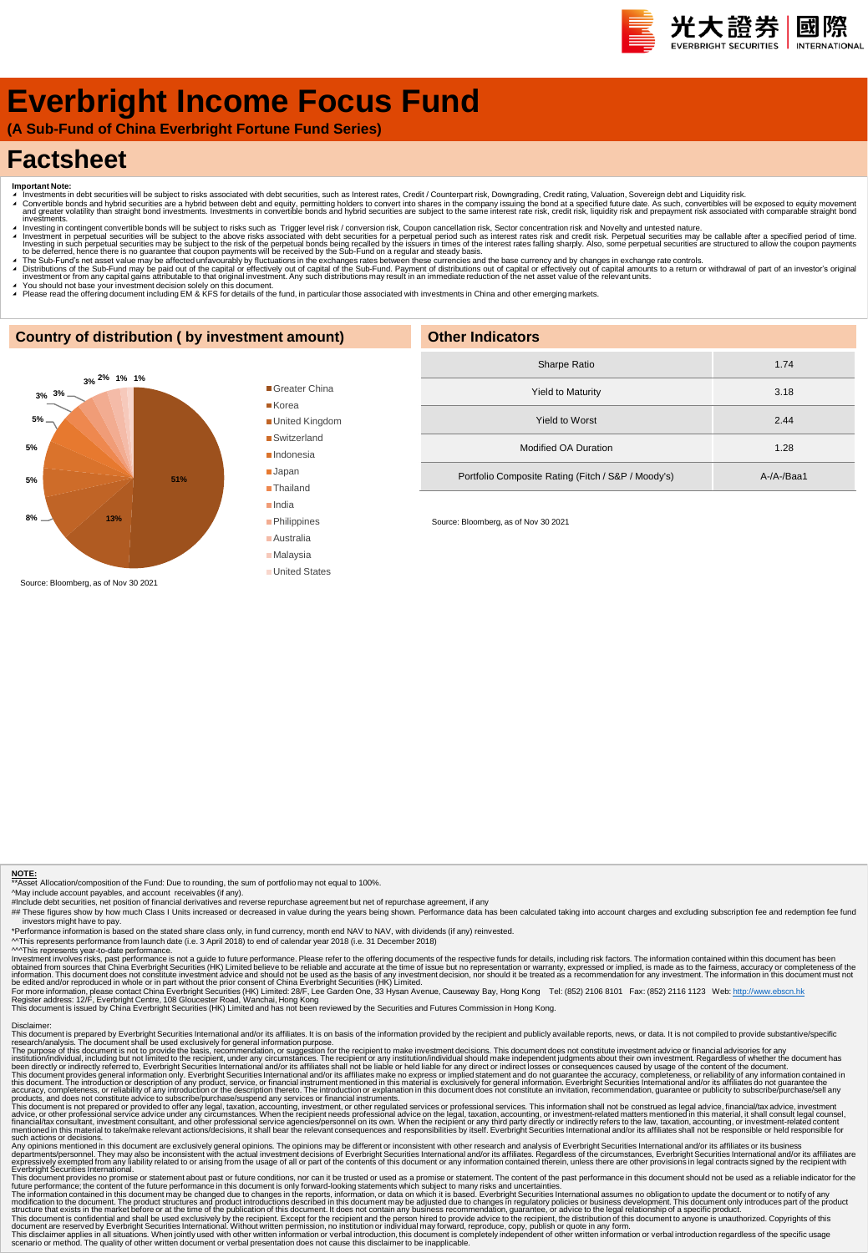# **Everbright Income Focus Fund**

**(A Sub-Fund of China Everbright Fortune Fund Series)**

## **Factsheet**

- 
- Important Note:<br>▲ Investments in debt securities will be subject to risks associated with debt securities, such as Interest rates, Credit / Counterpart risk, Downgrading, Credit rating, Valuation, Sovereign debt and Equid
- πνestinems.<br>Πανεsting in contingent convertible bonds will be subject to risks such as Trigger level risk / conversion risk, Coupon cancellation risk, Sector concentration risk and Novelty and untested nature. Investment in perpetual securities will be subject to the above risks associated with debt securities for a perpetual period such as interest rates risk and credit risk. Perpetual securities may be callable after a specifi
- A The Sub-Fund's net asset value may be affected unfavourably by fluctuations in the exchanges rates between these currencies and the base currency and by changes in exchange rate controls.<br>A Distributions of the Sub-Fund
- 
- ∡ You should not base your investment decision solely on this document.<br>▲ Please read the offering document including EM & KFS for details of the fund, in particular those associated with investments in China and other em

### **Country of distribution ( by investment amount)**



### Greater China ■ Korea

United Kingdom

■Switzerland

■Indonesia

Japan

**Thailand** India

- **Philippines**
- Australia
- Malaysia
- United States

| <b>Other Indicators</b>                            |            |  |  |  |  |  |
|----------------------------------------------------|------------|--|--|--|--|--|
| Sharpe Ratio                                       | 1.74       |  |  |  |  |  |
| <b>Yield to Maturity</b>                           | 3.18       |  |  |  |  |  |
| <b>Yield to Worst</b>                              | 2.44       |  |  |  |  |  |
| <b>Modified OA Duration</b>                        | 1.28       |  |  |  |  |  |
| Portfolio Composite Rating (Fitch / S&P / Moody's) | A-/A-/Baa1 |  |  |  |  |  |

Source: Bloomberg, as of Nov 30 2021

#### **NOTE:**

\*\*Asset Allocation/composition of the Fund: Due to rounding, the sum of portfolio may not equal to 100%.

^May include account payables, and account receivables (if any).<br>#Include debt securities, net position of inancial derivatives and reverse repurchase agreement but net of repurchase agreement, if any<br>## These figures show investors might have to pay.

\*Performance information is based on the stated share class only, in fund currency, month end NAV to NAV, with dividends (if any) reinvested.<br>^^This represents performance from launch date (i.e. 3 April 2018) to end of cal

<sup>AM</sup>This represents year-to-date performance is not a guide to future performance. Please refer to the offering documents of the respective funds for details, including risk factors. The information contained within this d

Disclaimer:<br>This document is prepared by Everbright Securities International and/or its affiliates. It is on basis of the information provided by the recipient and publicly available reports, news, or data. It is not compi

The purpose of this document is not to provide the basis, recommendation, or suggestion for the recipient to make investment decisions. This document divident his metally advisories for any incrument and the metally includ

Any opinion mentioned in this document are exclusively general opinions. The opinions may be different or inconsistent with the research and and/or its affiliates. or its busines mentioned in this document are served by it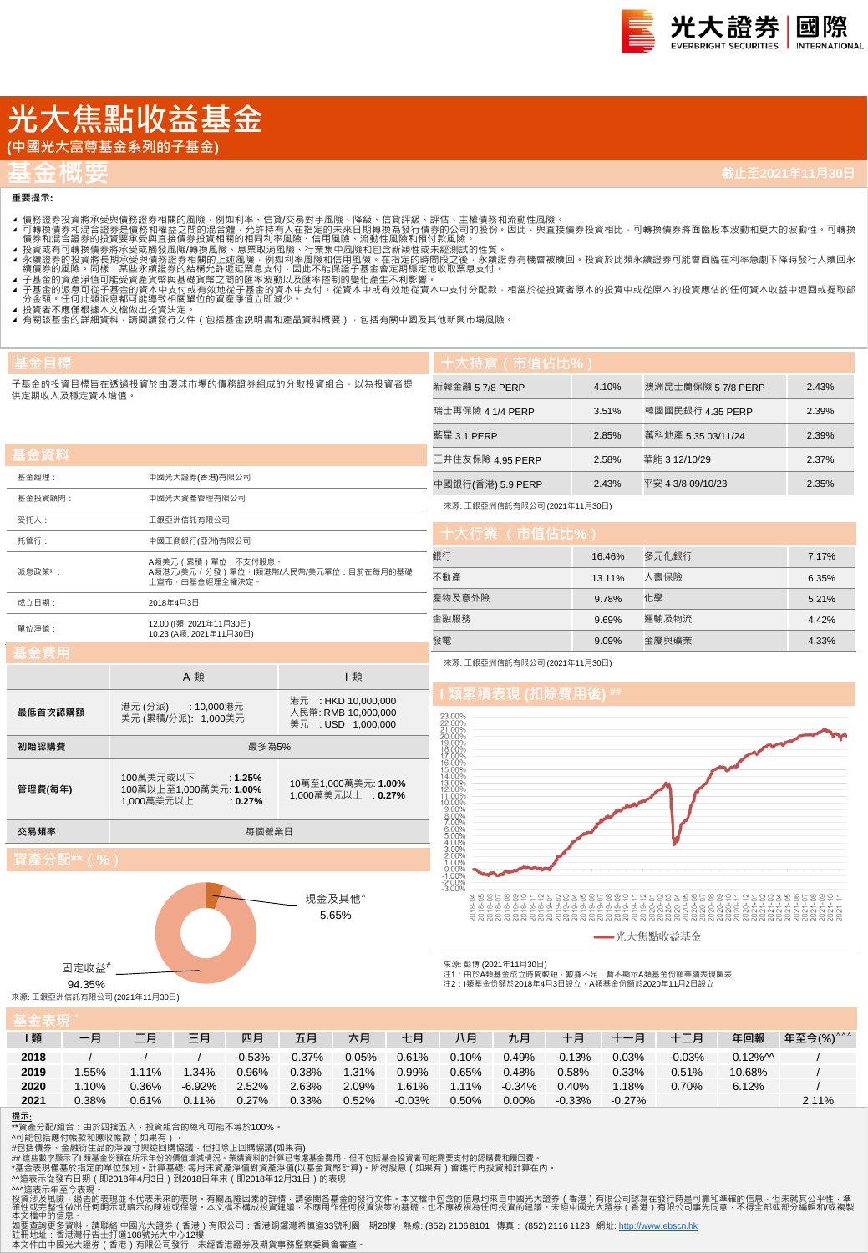

# **光大焦點收益基金**

**(中國光大富尊基金系列的子基金)**

## **基金概要**

**重要提示:**

**基金目標**

**基金資料**

供定期收入及穩定資本增值。

- 
- 4 可轉證券投資將承受與情務證券相關的風險,例如利率、信貸次易對手風險、降線、信貸評級、評估、主權債務和流動性風險。<br>4 可轉換債務業投資將承受與情務額證外相關的風險,例如利率、信貸次易對手風險、降風、有限部級行情勞的公司的股份,因此,與直接債券投資相比,可轉換債券將面臨股本波動和更大的波動性 可轉換<br>4 債券和混合證券的投資要承受與直接債券投資相關的相同利率風險、行業集中風險和頂待付款風險 •<br>1 積分和混合證券的投資要承受要項資
- 
- 
- 
- 
- ▲ 投資者不應惶恨據本又僵做出投資決定 。<br>▲ 有關該基金的詳細資料 · 請閱讀發行文件(包括基金說明書和產品資料概要) · 包括有關中國及其他新興市場風險 ·

子基金的投資目標旨在透過投資於由環球市場的債務證券組成的分散投資組合,以為投資者提 **十大持倉(市值佔比%)** 新韓金融 5 7/8 PERP 4.10% 澳洲昆士蘭保險 5 7/8 PERP 2.43% 瑞士再保險 4 1/4 PERP 3.51% 韓國國民銀行 4.35 PERP 2.39% 藍星 3.1 PERP 2.85% 萬科地產 5.35 03/11/24 2.39% 三井住友保險 4.95 PERP 2.58% 華能 3 12/10/29 2.37% 中國銀行(香港) 5.9 PERP 2.43% 平安 4 3/8 09/10/23 2.35% または、<br>また、その他には、その他には、16.46% 多元化銀行 オピアン・ショップ 7.17% 不動產 13.11% 人壽保險 6.35% 產物及意外險 9.78% 化學 5.21% 來源: 工銀亞洲信託有限公司 (2021年11月30日)

| 基金經理:   | 中國光大證券(香港)有限公司                                     |                                                                  |  |  |  |  |  |  |
|---------|----------------------------------------------------|------------------------------------------------------------------|--|--|--|--|--|--|
| 基金投資顧問: | 中國光大資產管理有限公司                                       |                                                                  |  |  |  |  |  |  |
| 受托人:    | 工銀亞洲信託有限公司                                         |                                                                  |  |  |  |  |  |  |
| 托管行:    | 中國工商銀行(亞洲)有限公司                                     |                                                                  |  |  |  |  |  |  |
| 派息政策1:  | 上宣布‧由基金經理全權決定‧                                     | A類美元 ( 累積 ) 單位 : 不支付股息 ·<br>A類港元/美元(分發)單位·I類港幣/人民幣/美元單位:目前在每月的基礎 |  |  |  |  |  |  |
| 成立日期:   | 2018年4月3日                                          |                                                                  |  |  |  |  |  |  |
| 單位淨值:   | 12.00 (l類, 2021年11月30日)<br>10.23 (A類, 2021年11月30日) |                                                                  |  |  |  |  |  |  |
| 基金費用    |                                                    |                                                                  |  |  |  |  |  |  |
|         | A 類                                                | 類                                                                |  |  |  |  |  |  |

| 季並算用    |                                                                              |                                           | 來源:                                                                         |  |  |  |
|---------|------------------------------------------------------------------------------|-------------------------------------------|-----------------------------------------------------------------------------|--|--|--|
|         | A 類                                                                          | 類                                         |                                                                             |  |  |  |
|         | 港元(分派)<br>: 10,000港元                                                         | 港元 : HKD 10.000.000                       | 類                                                                           |  |  |  |
| 最低首次認購額 | 美元 (累積/分派): 1,000美元                                                          | 人民幣: RMB 10.000.000<br>美元 : USD 1,000,000 | 23.00%<br>22 00%<br>21.00%<br>20 00%                                        |  |  |  |
| 初始認購費   | 最多為5%                                                                        |                                           |                                                                             |  |  |  |
| 管理費(每年) | 100萬美元或以下<br>: $1.25%$<br>100萬以上至1,000萬美元: 1.00%<br>1,000萬美元以上<br>$: 0.27\%$ | 10萬至1,000萬美元: 1.00%<br>1,000萬美元以上 : 0.27% | 16.00%<br>15.00%<br>14.00%<br>13 00%<br>12.00%<br>11.00%<br>10.00%<br>9.00% |  |  |  |

現金及其他^ 5.65%

來源: 工銀亞洲信託有限公司 (2021年11月30日)

## $\frac{1}{2}$  積表現 (扣除費用後)



金融服務 9.69% 運輸及物流 4.42% 發電 9.09% 金屬與礦業 4.33%

-光大焦點收益基金

注1:由於A類基金成立時間較短,數據不足,暫不顯示A類基金份額業績表現圖表 注2:I類基金份額於2018年4月3日設立,A類基金份額於2020年11月2日設立

94.35% 來源: 工銀亞洲信託有限公司 (2021年11月30日)

固定收益#

**基金表現** \*

| -- 14 Y 20 |       |       |          |          |           |          |          |       |           |           |          |          |                       |           |
|------------|-------|-------|----------|----------|-----------|----------|----------|-------|-----------|-----------|----------|----------|-----------------------|-----------|
| 類          | 一月    | 二月    | 三月       | 四月       | 五月        | 六月       | 七月       | 八月    | 九月        | 十月        | 十一月      | 十二月      | 年回報                   | 年至今(%)^^^ |
| 2018       |       |       |          | $-0.53%$ | $-0.37\%$ | $-0.05%$ | 0.61%    | 0.10% | 0.49%     | $-0.13%$  | 0.03%    | $-0.03%$ | $0.12\%$ <sup>M</sup> |           |
| 2019       | .55%  | .11%  | 1.34%    | 0.96%    | 0.38%     | 1.31%    | $0.99\%$ | 0.65% | 0.48%     | 0.58%     | 0.33%    | 0.51%    | 10.68%                |           |
| 2020       | .10%  | 0.36% | $-6.92%$ | 2.52%    | 2.63%     | 2.09%    | 1.61%    | 1.11% | $-0.34\%$ | 0.40%     | 1.18%    | 0.70%    | 6.12%                 |           |
| 2021       | 0.38% | 0.61% | 0.11%    | 0.27%    | 0.33%     | 0.52%    | $-0.03%$ | 0.50% | 0.00%     | $-0.33\%$ | $-0.27%$ |          |                       | 2.11%     |

來源: 彭博 (2021年11月30日)

### **提示**:

**交易頻率 インタン あたま こうしょう かいしゃ あいしゃ あいきょう あいきょう** 毎個營業日

\*\*資產分配/組合:由於四捨五入 · 投資組合的總和可能不等於100% ·<br>^可能包括應付帳款和應收帳款(如果有) ·

#包括債券、金融衍生品的淨頭寸與逆回購協議,但扣除正回購協議(如果有)<br>## 這些數字顯示了I 類基金份額在所示年份的價值增減情況。業績資料的計算已考慮基金費用,但不包括基金投資者可能需要支付的認購費和贖回費。

\*基金表現僅基於指定的單位類別。計算基礎: 每月末資產淨值對資產淨值(以基金貨幣計算)。所得股息(如果有)會進行再投資和計算在內。

^^這表示從發布日期(即2018年4月3日)到2018日年末(即2018年12月31日)的表現

^^這表示年至今表現。<br>投資涉及風險,過去的表現並不代表未來的表現。有關風險因素的詳情,請參閱各基金的發行文件。本文檔中包含的信息均來自中國光大證券(香港)有限公司認為在發行時是可靠和準確的信息,但未就其公平性,準<br>確中或信件做出任何明示或暗示的陳述或保證。本文檔不構成投資建議,不應用作任何投資決策的基礎,也不應被視為任何投資的建議。未經中國光大證券(香港)有限公司事先同意,不得全部或部分編輯和/或複製<br>本文檔中的信息。

如要查詢更多資料 · 請聯絡 中國光大證券(香港)有限公司:香港銅鑼灣希慎道33號利園一期28樓 熱線: (852) 2106 8101 傳真: (852) 2116 1123 網址: <u>http://www.ebscn.hk</u><br>註冊地址:香港当行告士打道108號光大中心12樓<br>本文件由中國光大證券(香港)有限公司發行,未經香港證券及期貨事務監察委員會審查。